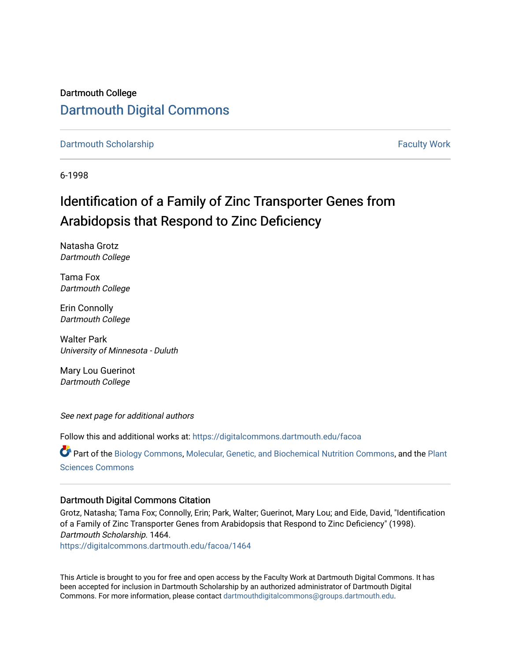# Dartmouth College [Dartmouth Digital Commons](https://digitalcommons.dartmouth.edu/)

#### [Dartmouth Scholarship](https://digitalcommons.dartmouth.edu/facoa) [Faculty Work](https://digitalcommons.dartmouth.edu/faculty) and The Basic Scholarship Faculty Work Faculty Work

6-1998

# Identification of a Family of Zinc Transporter Genes from Arabidopsis that Respond to Zinc Deficiency

Natasha Grotz Dartmouth College

Tama Fox Dartmouth College

Erin Connolly Dartmouth College

Walter Park University of Minnesota - Duluth

Mary Lou Guerinot Dartmouth College

See next page for additional authors

Follow this and additional works at: [https://digitalcommons.dartmouth.edu/facoa](https://digitalcommons.dartmouth.edu/facoa?utm_source=digitalcommons.dartmouth.edu%2Ffacoa%2F1464&utm_medium=PDF&utm_campaign=PDFCoverPages)

Part of the [Biology Commons,](http://network.bepress.com/hgg/discipline/41?utm_source=digitalcommons.dartmouth.edu%2Ffacoa%2F1464&utm_medium=PDF&utm_campaign=PDFCoverPages) [Molecular, Genetic, and Biochemical Nutrition Commons,](http://network.bepress.com/hgg/discipline/99?utm_source=digitalcommons.dartmouth.edu%2Ffacoa%2F1464&utm_medium=PDF&utm_campaign=PDFCoverPages) and the [Plant](http://network.bepress.com/hgg/discipline/102?utm_source=digitalcommons.dartmouth.edu%2Ffacoa%2F1464&utm_medium=PDF&utm_campaign=PDFCoverPages)  [Sciences Commons](http://network.bepress.com/hgg/discipline/102?utm_source=digitalcommons.dartmouth.edu%2Ffacoa%2F1464&utm_medium=PDF&utm_campaign=PDFCoverPages) 

### Dartmouth Digital Commons Citation

Grotz, Natasha; Tama Fox; Connolly, Erin; Park, Walter; Guerinot, Mary Lou; and Eide, David, "Identification of a Family of Zinc Transporter Genes from Arabidopsis that Respond to Zinc Deficiency" (1998). Dartmouth Scholarship. 1464.

[https://digitalcommons.dartmouth.edu/facoa/1464](https://digitalcommons.dartmouth.edu/facoa/1464?utm_source=digitalcommons.dartmouth.edu%2Ffacoa%2F1464&utm_medium=PDF&utm_campaign=PDFCoverPages) 

This Article is brought to you for free and open access by the Faculty Work at Dartmouth Digital Commons. It has been accepted for inclusion in Dartmouth Scholarship by an authorized administrator of Dartmouth Digital Commons. For more information, please contact [dartmouthdigitalcommons@groups.dartmouth.edu](mailto:dartmouthdigitalcommons@groups.dartmouth.edu).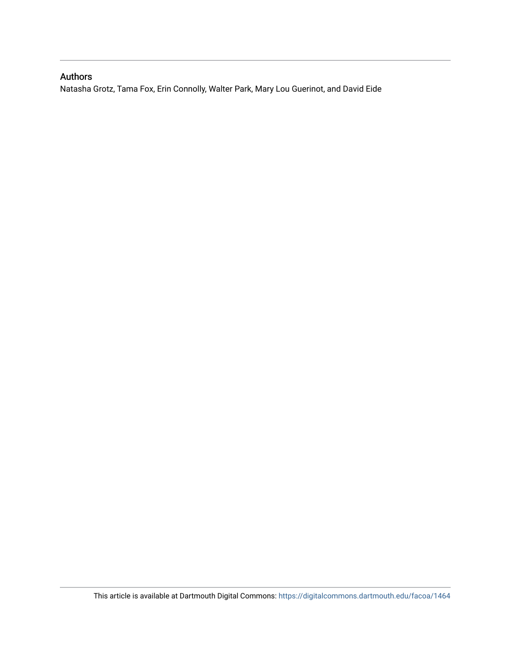## Authors

Natasha Grotz, Tama Fox, Erin Connolly, Walter Park, Mary Lou Guerinot, and David Eide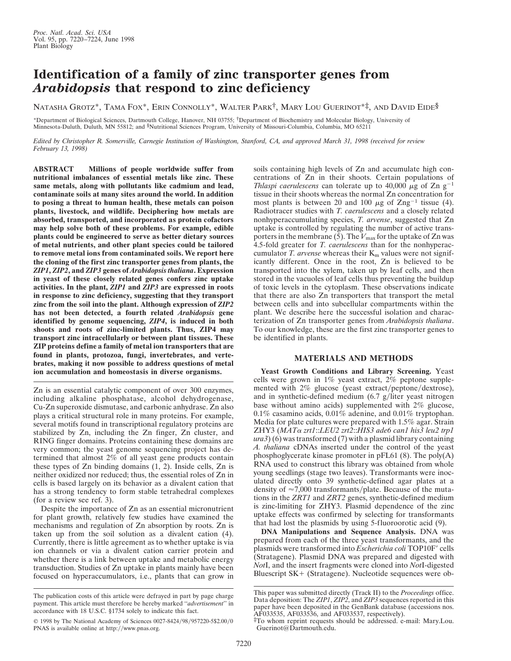## **Identification of a family of zinc transporter genes from** *Arabidopsis* **that respond to zinc deficiency**

NATASHA GROTZ\*, TAMA FOX\*, ERIN CONNOLLY\*, WALTER PARK†, MARY LOU GUERINOT\*‡, AND DAVID EIDE§

\*Department of Biological Sciences, Dartmouth College, Hanover, NH 03755; †Department of Biochemistry and Molecular Biology, University of Minnesota-Duluth, Duluth, MN 55812; and §Nutritional Sciences Program, University of Missouri-Columbia, Columbia, MO 65211

*Edited by Christopher R. Somerville, Carnegie Institution of Washington, Stanford, CA, and approved March 31, 1998 (received for review February 13, 1998)*

**ABSTRACT Millions of people worldwide suffer from nutritional imbalances of essential metals like zinc. These same metals, along with pollutants like cadmium and lead, contaminate soils at many sites around the world. In addition to posing a threat to human health, these metals can poison plants, livestock, and wildlife. Deciphering how metals are absorbed, transported, and incorporated as protein cofactors may help solve both of these problems. For example, edible plants could be engineered to serve as better dietary sources of metal nutrients, and other plant species could be tailored to remove metal ions from contaminated soils. We report here the cloning of the first zinc transporter genes from plants, the** *ZIP1***,** *ZIP2***, and** *ZIP3* **genes of** *Arabidopsis thaliana***. Expression in yeast of these closely related genes confers zinc uptake activities. In the plant,** *ZIP1* **and** *ZIP3* **are expressed in roots in response to zinc deficiency, suggesting that they transport zinc from the soil into the plant. Although expression of** *ZIP2* **has not been detected, a fourth related** *Arabidopsis* **gene identified by genome sequencing,** *ZIP4***, is induced in both shoots and roots of zinc-limited plants. Thus, ZIP4 may transport zinc intracellularly or between plant tissues. These ZIP proteins define a family of metal ion transporters that are found in plants, protozoa, fungi, invertebrates, and vertebrates, making it now possible to address questions of metal ion accumulation and homeostasis in diverse organisms.**

Zn is an essential catalytic component of over 300 enzymes, including alkaline phosphatase, alcohol dehydrogenase, Cu-Zn superoxide dismutase, and carbonic anhydrase. Zn also plays a critical structural role in many proteins. For example, several motifs found in transcriptional regulatory proteins are stabilized by Zn, including the Zn finger, Zn cluster, and RING finger domains. Proteins containing these domains are very common; the yeast genome sequencing project has determined that almost 2% of all yeast gene products contain these types of Zn binding domains (1, 2). Inside cells, Zn is neither oxidized nor reduced; thus, the essential roles of Zn in cells is based largely on its behavior as a divalent cation that has a strong tendency to form stable tetrahedral complexes (for a review see ref. 3).

Despite the importance of Zn as an essential micronutrient for plant growth, relatively few studies have examined the mechanisms and regulation of Zn absorption by roots. Zn is taken up from the soil solution as a divalent cation (4). Currently, there is little agreement as to whether uptake is via ion channels or via a divalent cation carrier protein and whether there is a link between uptake and metabolic energy transduction. Studies of Zn uptake in plants mainly have been focused on hyperaccumulators, i.e., plants that can grow in

soils containing high levels of Zn and accumulate high concentrations of Zn in their shoots. Certain populations of *Thlaspi caerulescens* can tolerate up to 40,000  $\mu$ g of Zn g<sup>-1</sup> tissue in their shoots whereas the normal Zn concentration for most plants is between 20 and 100  $\mu$ g of Zng<sup>-1</sup> tissue (4). Radiotracer studies with *T. caerulescens* and a closely related nonhyperaccumulating species, *T. arvense*, suggested that Zn uptake is controlled by regulating the number of active transporters in the membrane (5). The  $V_{\text{max}}$  for the uptake of Zn was 4.5-fold greater for *T. caerulescens* than for the nonhyperaccumulator *T. arvense* whereas their  $K_m$  values were not significantly different. Once in the root, Zn is believed to be transported into the xylem, taken up by leaf cells, and then stored in the vacuoles of leaf cells thus preventing the buildup of toxic levels in the cytoplasm. These observations indicate that there are also Zn transporters that transport the metal between cells and into subcellular compartments within the plant. We describe here the successful isolation and characterization of Zn transporter genes from *Arabidopsis thaliana*. To our knowledge, these are the first zinc transporter genes to be identified in plants.

#### **MATERIALS AND METHODS**

**Yeast Growth Conditions and Library Screening.** Yeast cells were grown in 1% yeast extract, 2% peptone supplemented with 2% glucose (yeast extract/peptone/dextrose), and in synthetic-defined medium  $(6.7 \text{ g/liter} \text{ yeast nitrogen})$ base without amino acids) supplemented with 2% glucose, 0.1% casamino acids, 0.01% adenine, and 0.01% tryptophan. Media for plate cultures were prepared with 1.5% agar. Strain ZHY3 (*MAT*<sup>a</sup> *zrt1*::*LEU2 zrt2*::*HIS3 ade6 can1 his3 leu2 trp1 ura3*) (6) was transformed (7) with a plasmid library containing *A. thaliana* cDNAs inserted under the control of the yeast phosphoglycerate kinase promoter in pFL61 (8). The poly(A) RNA used to construct this library was obtained from whole young seedlings (stage two leaves). Transformants were inoculated directly onto 39 synthetic-defined agar plates at a density of  $\approx$ 7,000 transformants/plate. Because of the mutations in the *ZRT1* and *ZRT2* genes, synthetic-defined medium is zinc-limiting for ZHY3. Plasmid dependence of the zinc uptake effects was confirmed by selecting for transformants that had lost the plasmids by using 5-fluoroorotic acid (9).

**DNA Manipulations and Sequence Analysis.** DNA was prepared from each of the three yeast transformants, and the plasmids were transformed into *Escherichia coli* TOP10F' cells (Stratagene). Plasmid DNA was prepared and digested with *Not*I, and the insert fragments were cloned into *Not*I-digested Bluescript SK+ (Stratagene). Nucleotide sequences were ob-

The publication costs of this article were defrayed in part by page charge payment. This article must therefore be hereby marked ''*advertisement*'' in accordance with 18 U.S.C. §1734 solely to indicate this fact.

<sup>© 1998</sup> by The National Academy of Sciences 0027-8424/98/957220-5\$2.00/0 PNAS is available online at http://www.pnas.org.

This paper was submitted directly (Track II) to the *Proceedings* office. Data deposition: The *ZIP1*, *ZIP2*, and *ZIP3* sequences reported in this paper have been deposited in the GenBank database (accessions nos. AF033535, AF033536, and AF033537, respectively).

<sup>‡</sup>To whom reprint requests should be addressed. e-mail: Mary.Lou. Guerinot@Dartmouth.edu.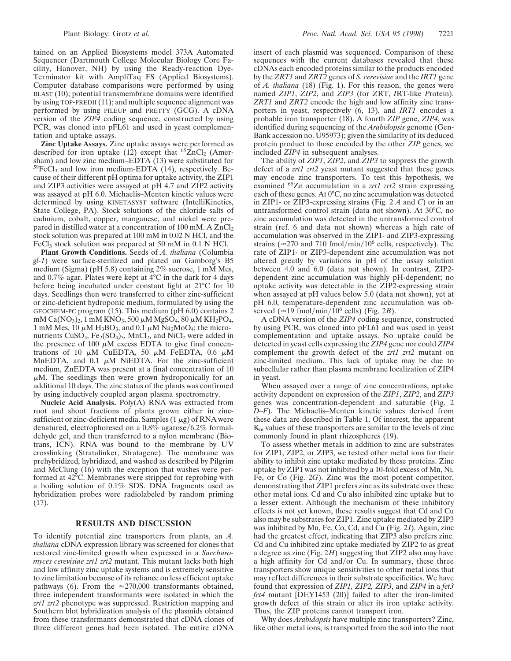tained on an Applied Biosystems model 373A Automated Sequencer (Dartmouth College Molecular Biology Core Facility, Hanover, NH) by using the Ready-reaction Dye-Terminator kit with AmpliTaq FS (Applied Biosystems). Computer database comparisons were performed by using BLAST (10); potential transmembrane domains were identified by using TOP-PREDII(11); and multiple sequence alignment was performed by using PILEUP and PRETTY (GCG). A cDNA version of the *ZIP4* coding sequence, constructed by using PCR, was cloned into pFL61 and used in yeast complementation and uptake assays.

**Zinc Uptake Assays.** Zinc uptake assays were performed as described for iron uptake  $(12)$  except that <sup>65</sup>ZnCl<sub>2</sub> (Amersham) and low zinc medium–EDTA (13) were substituted for  $59FeC1<sub>3</sub>$  and low iron medium-EDTA (14), respectively. Because of their different pH optima for uptake activity, the ZIP1 and ZIP3 activities were assayed at pH 4.7 and ZIP2 activity was assayed at pH 6.0. Michaelis–Menten kinetic values were determined by using KINETASYST software (IntelliKinetics, State College, PA). Stock solutions of the chloride salts of cadmium, cobalt, copper, manganese, and nickel were prepared in distilled water at a concentration of  $100 \text{ mM}$ . A  $\text{ZnCl}_2$ stock solution was prepared at 100 mM in 0.02 N HCl, and the FeCl<sub>3</sub> stock solution was prepared at 50 mM in 0.1 N HCl.

**Plant Growth Conditions.** Seeds of *A. thaliana* (Columbia *gl-1*) were surface-sterilized and plated on Gamborg's B5 medium (Sigma) (pH 5.8) containing 2% sucrose, 1 mM Mes, and 0.7% agar. Plates were kept at 4°C in the dark for 4 days before being incubated under constant light at 21°C for 10 days. Seedlings then were transferred to either zinc-sufficient or zinc-deficient hydroponic medium, formulated by using the GEOCHEM-PC program (15). This medium (pH 6.0) contains 2 mM Ca(NO<sub>3</sub>)<sub>2</sub>, 1 mM KNO<sub>3</sub>, 500  $\mu$ M MgSO<sub>4</sub>, 80  $\mu$ M KH<sub>2</sub>PO<sub>4</sub>, 1 mM Mes, 10  $\mu$ M H<sub>3</sub>BO<sub>3</sub>, and 0.1  $\mu$ M Na<sub>2</sub>MoO<sub>4</sub>; the micronutrients  $CuSO_4$ ,  $Fe<sub>2</sub>(SO<sub>4</sub>)<sub>3</sub>$ , MnCl<sub>2</sub>, and NiCl<sub>2</sub> were added in the presence of 100  $\mu$ M excess EDTA to give final concentrations of 10  $\mu$ M CuEDTA, 50  $\mu$ M FeEDTA, 0.6  $\mu$ M MnEDTA, and 0.1  $\mu$ M NiEDTA. For the zinc-sufficient medium, ZnEDTA was present at a final concentration of 10  $\mu$ M. The seedlings then were grown hydroponically for an additional 10 days. The zinc status of the plants was confirmed by using inductively coupled argon plasma spectrometry.

**Nucleic Acid Analysis.** Poly(A) RNA was extracted from root and shoot fractions of plants grown either in zincsufficient or zinc-deficient media. Samples (1  $\mu$ g) of RNA were denatured, electrophoresed on a  $0.8\%$  agarose/6.2% formaldehyde gel, and then transferred to a nylon membrane (Biotrans, ICN). RNA was bound to the membrane by UV crosslinking (Stratalinker, Stratagene). The membrane was prehybridized, hybridized, and washed as described by Pilgrim and McClung (16) with the exception that washes were performed at 42°C. Membranes were stripped for reprobing with a boiling solution of 0.1% SDS. DNA fragments used as hybridization probes were radiolabeled by random priming (17).

#### **RESULTS AND DISCUSSION**

To identify potential zinc transporters from plants, an *A. thaliana* cDNA expression library was screened for clones that restored zinc-limited growth when expressed in a *Saccharomyces cerevisiae zrt1 zrt2* mutant. This mutant lacks both high and low affinity zinc uptake systems and is extremely sensitive to zinc limitation because of its reliance on less efficient uptake pathways (6). From the  $\approx$  270,000 transformants obtained, three independent transformants were isolated in which the *zrt1 zrt2* phenotype was suppressed. Restriction mapping and Southern blot hybridization analysis of the plasmids obtained from these transformants demonstrated that cDNA clones of three different genes had been isolated. The entire cDNA

insert of each plasmid was sequenced. Comparison of these sequences with the current databases revealed that these cDNAs each encoded proteins similar to the products encoded by the *ZRT1* and *ZRT2* genes of *S. cerevisiae* and the *IRT1* gene of *A. thaliana* (18) (Fig. 1). For this reason, the genes were named *ZIP1*, *ZIP2*, and *ZIP3* (for *Z*RT, *I*RT-like *P*rotein). *ZRT1* and *ZRT2* encode the high and low affinity zinc transporters in yeast, respectively (6, 13), and *IRT1* encodes a probable iron transporter (18). A fourth *ZIP* gene, *ZIP4*, was identified during sequencing of the *Arabidopsis* genome (Gen-Bank accession no. U95973); given the similarity of its deduced protein product to those encoded by the other *ZIP* genes, we included *ZIP4* in subsequent analyses.

The ability of *ZIP1*, *ZIP2*, and *ZIP3* to suppress the growth defect of a *zrt1 zrt2* yeast mutant suggested that these genes may encode zinc transporters. To test this hypothesis, we examined 65Zn accumulation in a *zrt1 zrt2* strain expressing each of these genes. At 0°C, no zinc accumulation was detected in ZIP1- or ZIP3-expressing strains (Fig. 2 *A* and *C*) or in an untransformed control strain (data not shown). At 30°C, no zinc accumulation was detected in the untransformed control strain (ref. 6 and data not shown) whereas a high rate of accumulation was observed in the ZIP1- and ZIP3-expressing strains ( $\approx$ 270 and 710 fmol/min/10<sup>6</sup> cells, respectively). The rate of ZIP1- or ZIP3-dependent zinc accumulation was not altered greatly by variations in pH of the assay solution between 4.0 and 6.0 (data not shown). In contrast, ZIP2 dependent zinc accumulation was highly pH-dependent; no uptake activity was detectable in the ZIP2-expressing strain when assayed at pH values below 5.0 (data not shown), yet at pH 6.0, temperature-dependent zinc accumulation was observed ( $\approx$ 19 fmol/min/10<sup>6</sup> cells) (Fig. 2*B*).

A cDNA version of the *ZIP4* coding sequence, constructed by using PCR, was cloned into pFL61 and was used in yeast complementation and uptake assays. No uptake could be detected in yeast cells expressing the *ZIP4* gene nor could *ZIP4* complement the growth defect of the *zrt1 zrt2* mutant on zinc-limited medium. This lack of uptake may be due to subcellular rather than plasma membrane localization of ZIP4 in yeast.

When assayed over a range of zinc concentrations, uptake activity dependent on expression of the *ZIP1*, *ZIP2*, and *ZIP3* genes was concentration-dependent and saturable (Fig. 2 *D*–*F*). The Michaelis–Menten kinetic values derived from these data are described in Table 1. Of interest, the apparent Km values of these transporters are similar to the levels of zinc commonly found in plant rhizospheres (19).

To assess whether metals in addition to zinc are substrates for ZIP1, ZIP2, or ZIP3, we tested other metal ions for their ability to inhibit zinc uptake mediated by these proteins. Zinc uptake by ZIP1 was not inhibited by a 10-fold excess of Mn, Ni, Fe, or Co (Fig. 2*G*). Zinc was the most potent competitor, demonstrating that ZIP1 prefers zinc as its substrate over these other metal ions. Cd and Cu also inhibited zinc uptake but to a lesser extent. Although the mechanism of these inhibitory effects is not yet known, these results suggest that Cd and Cu also may be substrates for ZIP1. Zinc uptake mediated by ZIP3 was inhibited by Mn, Fe, Co, Cd, and Cu (Fig. 2*I*). Again, zinc had the greatest effect, indicating that ZIP3 also prefers zinc. Cd and Cu inhibited zinc uptake mediated by ZIP2 to as great a degree as zinc (Fig. 2*H*) suggesting that ZIP2 also may have a high affinity for Cd and/or Cu. In summary, these three transporters show unique sensitivities to other metal ions that may reflect differences in their substrate specificities. We have found that expression of *ZIP1, ZIP2, ZIP3*, and *ZIP4* in a *fet3 fet4* mutant [DEY1453 (20)] failed to alter the iron-limited growth defect of this strain or alter its iron uptake activity. Thus, the ZIP proteins cannot transport iron.

Why does *Arabidopsis* have multiple zinc transporters? Zinc, like other metal ions, is transported from the soil into the root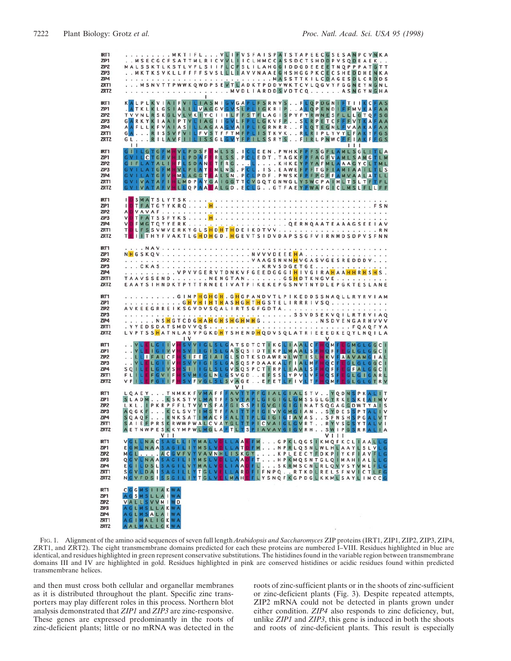| <b>IRT1</b><br>ZIP1<br>ZIP <sub>2</sub><br>ZIP3<br>ZIP4<br>ZRT1<br>ZRT <sub>2</sub>             |                                                                                                                            |                                                      |                | MKTIFLVLIEVSFAISPATSTAPEECGSESANPCVNKA<br>. . M S E C G C F S A T T M L R I C V V L I I C L H M C C A S S D C T S H D D P V S Q D E A E K<br>MALSSKTLKSTLVFLSIIFLCFSLILAHGGIDDGDEEEETNQPPPATGTT<br>. . MKTKSVKLLFFFFSVSLLLIAVVNAAEGHSHGGPKCECSHEDDHENKA<br>M S N V T T P W W K Q W D P S E V T L A D K T P D D V W K T C V L Q G V Y F G G N E Y N G N L                                                                                                           |                   |                                      |
|-------------------------------------------------------------------------------------------------|----------------------------------------------------------------------------------------------------------------------------|------------------------------------------------------|----------------|--------------------------------------------------------------------------------------------------------------------------------------------------------------------------------------------------------------------------------------------------------------------------------------------------------------------------------------------------------------------------------------------------------------------------------------------------------------------|-------------------|--------------------------------------|
| IRT1<br>ZIP1<br>ZIP <sub>2</sub><br>ZIP <sub>3</sub><br>ZIP4<br>ZRT1<br>ZRT <sub>2</sub>        | 1 <sub>1</sub>                                                                                                             |                                                      |                | KALPLKVIAIFVILIASMIGVGAPLFSRNVSFLOPDGNIFTIIKCFAS<br>.ATKLKLGSIALLLVAGGVGVSLPLIGKRIPALOPENDIFFMVKAFAA<br>TVVNLRSKGLVLVKIYCIIILFFSTFLAGISPYFYRWNESFLLLGTQFSG<br>GARKYKIAAIPTVLIAGIIGVLFPLLGKVFPSLRPETCFFFVTKAFAA<br>AAFLLKFVAIASILLAGAAGVAIPLIGRNRRFLQTEGNLFVAAKAFAA<br>GA. RISSVFVILFVSTFFTMFPLISTKVK. . RLRIPLYVYLFAKYFGS<br>GLRILAVFIILISSGLGVYFPILSSRYSFIRLPNWCFFIAKFFGS                                                                                         |                   | 111                                  |
| <b>IRT1</b><br>ZIP1<br>ZIP <sub>2</sub><br>ZIP3<br>ZIP4<br>ZRT1<br>ZRT <sub>2</sub>             | FLATALIH<br>G <sub>1</sub>                                                                                                 | <b>GVILCTGFVHILPDAFE</b>                             |                | GIILGTGFMHVLPDSFEMLSS.ICLEEN.PWHKFPFSGFLAMLSGLITLA<br>RLSS. PCLEDT. TAGKFPFAGFVAMLSAMGTLM<br>FLSDANETFRGLKHKEYPYAFMLAAAGYCLTML<br>GVILATGFMHVLPEAYEMLNS.PCL.IS.EAWEFPFTGFIAMIAAILTLS<br>GVILATGFVHMLAGGTEALSN.PCLPDF.PWSKFPFPGFFAMVAALATLL<br>GVIVATAFIHLMDPAYGAIGGTTCVGQTGNWGLYSWCPAIMLTSLTFTFL<br>GVIVATAFVHLLOPAAEALGD.ECLGGTFAEYPWAFGICLMSLFLLFF                                                                                                               |                   |                                      |
| <b>IRT1</b><br>ZIP1<br>ZIP <sub>2</sub><br>ZIP3<br>ZIP4<br>ZRT1<br>ZRT <sub>2</sub>             | п<br>$\mathsf{A}$<br>$\vee$<br>v<br>T<br>T E                                                                               |                                                      |                | FMGTQYYERKQERNQAATEAAAGSEEIAV<br>LFSSVWVERKYGLSHDHTHDEIKDTVVRN<br>I I THYFVAKTL G HD H G D . H G E V T S I D V D A P S S G F V I R N M D S D P V S F N N                                                                                                                                                                                                                                                                                                           |                   |                                      |
| <b>IRT1</b><br>ZIP1<br>ZIP <sub>2</sub><br>ZIP3<br>ZIP4<br>ZRT1<br>ZRT <sub>2</sub>             |                                                                                                                            |                                                      |                | NHGSKQVNVVVDEEEHA<br>. V P V V G E R V T D N K V F G E E D G G G I <mark>H</mark> I V G I R A <mark>H A A H H R H S H</mark> S .<br>TAAVSSEND NENGTAN GS <mark>H</mark> DTKNGVE<br>EAAYSIHNDKTPYTTRNEEIVATPIKEKEPGSNVTNYDLEPGKTESLANE                                                                                                                                                                                                                              |                   |                                      |
| IRT1<br>ZIP1<br>ZIP <sub>2</sub><br>ZIP <sub>3</sub><br>ZIP4<br>ZRT1<br>ZRT <sub>2</sub>        |                                                                                                                            | $\mathsf{I}$                                         |                | . G I M P <mark>H G H G H . G H</mark> G P A N D V T L P I K E D D S S N A Q L L R Y R V I A M<br>. G <mark>H V H I H T H A S H G H T H</mark> G S T E L I R R R I V S Q<br>AVKEEGRREIKSGVDVSQALIRTSGFGDTA<br>SSVDSEKVQILRTRVIAQ<br>. N S <mark>H</mark> G T C D G H A H G H S H G H M H G N S D V E N G A R H V V V<br>L V P T S S <mark>H</mark> A T N L A S V P G K D <mark>H</mark> Y S H E N D <mark>H</mark> Q D V S Q L A T R I E E E D K E Q Y L N Q I L A |                   |                                      |
| IRT1<br>ZIP1<br>ZIP <sub>2</sub><br>ZIP <sub>3</sub><br>ZIP4<br>ZRT1<br>ZRT <sub>2</sub>        | VLE<br>SQIL<br>FLILE<br>VFILEFGIIF                                                                                         | IGIVVH<br>LGIVS<br>FGVIF                             | V <sub>1</sub> | LGIIVISVVIGLSLGATSDTCTIKGLIAALCFHOMFLGMGLGGCI<br>SVIIGISLGASQSIDTIKPLMAALSFHQFFEGLGLGGCI<br>. . LLI FALCFHSIFEGIAIGLSDTKSDAWRNLWTISLHKVFAAVAMGIAL<br>. . VLELGIIVHSVVIGISLGASQSPDAAKALFIALMF <mark>IOCFEGLGLGGCI</mark><br>HSIIIGLSLGVSQSPCTIRPLIAALSF<br><b>HSVMIGLNLGSVGDEFSSLYPVLVF</b><br>HSVFVGLSLSVAGEEFETLFIVLTFH                                                                                                                                           | F<br>HQF<br>HOSFE | GFALGGCI<br>GLGIGARL<br>QMFEGLGLGTRV |
| <b>IRT1</b><br>ZIP1<br>ZIP <sub>2</sub><br>ZIP <sub>3</sub><br>ZIP4<br>ZRT1<br>ZRT <sub>2</sub> |                                                                                                                            | V <sub>1</sub>                                       |                | LOAEYTNMKKFVMAFFFAVTTPFGIALGIALSTVYODNSPKALIT<br>SLADMKSKSTVLMATFFSVTAPLGIGIGLGMSSGLGYRKESKEAIMV<br>LKL. IPKRPFFLTVVYSFAFGISSPIGVGIGIGINATSQGAGGDWTYAIS<br>AQGKFKCLSVTIMSTFFAITTPIGIVVGMGIANSYDESSPTALIV<br>SQAQFRNKSATIMACFFALTTPLGIGIGTAVASSFNSHSPGALVT<br>SAIEFPRSKRWWPWALCVAYGLTTPICVAIGLGVRTRYVSGSYTALVI<br>A E T N W P E S K K Y M P W L M G L A F T L T S P I A V A V G I G V R H                                                                           | $V$               | SWIPGSRRALIA                         |
| <b>IRT1</b><br>ZIP1<br>ZIP <sub>2</sub><br>ZIP3<br>ZIP4<br>ZRT1<br>ZRT <sub>2</sub>             |                                                                                                                            | VGLLNACSAGLLIYMALVOLLAA<br><b>SGVLDAISAGILLYTGLV</b> |                | <b>EFMGPKLQGSIKMQFKCLIAALLG</b><br>E G M L N A A S A G I L I Y M S L V D L L A T D F M N P R L Q S N L W L H L A A Y L S L V L G<br>MGLACGVFVYVAVNHLISKGYKPLEECYFDKPIYKFIAVFLG<br>Q G V L N A A S A G I L I Y M S L V D L L A A D F T H P K M Q S N T G L Q I M A H I A L L L G<br>EGILDSLSAGILVYMALVDLIAADFLSKRMSCNLRLQVVSYVMLFLG<br>ELLARBFIFNPQRTKDLRELSFNVICTLFG<br>NGVFDSISSGILIYTGLVELMAHEFLYSNQFKGPDGLKKMLSAYLIMCCG                                         |                   |                                      |
| <b>IRT1</b><br>ZIP1<br>ZIP <sub>2</sub><br>ZIP3<br>ZIP4<br>ZRT1<br>ZRT <sub>2</sub>             | <b>CGGMSIIAKWA</b><br>AGSMSLLAIWA<br>VALLSVVMIWD<br>AGLMSLLAKWA<br><b>AGLMSALAIWA</b><br>AGIMALIGKWA<br><b>AALMALLGKWA</b> |                                                      |                | ×                                                                                                                                                                                                                                                                                                                                                                                                                                                                  |                   |                                      |

FIG. 1. Alignment of the amino acid sequences of seven full length *Arabidopsis and Saccharomyces* ZIP proteins (IRT1, ZIP1, ZIP2, ZIP3, ZIP4, ZRT1, and ZRT2). The eight transmembrane domains predicted for each these proteins are numbered I–VIII. Residues highlighted in blue are identical, and residues highlighted in green represent conservative substitutions. The histidines found in the variable region between transmembrane domains III and IV are highlighted in gold. Residues highlighted in pink are conserved histidines or acidic residues found within predicted transmembrane helices.

and then must cross both cellular and organellar membranes as it is distributed throughout the plant. Specific zinc transporters may play different roles in this process. Northern blot analysis demonstrated that *ZIP1* and *ZIP3* are zinc-responsive. These genes are expressed predominantly in the roots of zinc-deficient plants; little or no mRNA was detected in the roots of zinc-sufficient plants or in the shoots of zinc-sufficient or zinc-deficient plants (Fig. 3). Despite repeated attempts, ZIP2 mRNA could not be detected in plants grown under either condition. *ZIP4* also responds to zinc deficiency, but, unlike *ZIP1* and *ZIP3*, this gene is induced in both the shoots and roots of zinc-deficient plants. This result is especially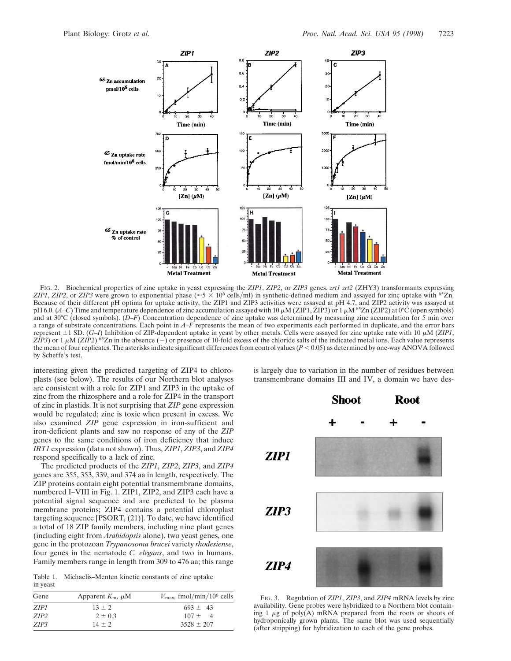

FIG. 2. Biochemical properties of zinc uptake in yeast expressing the *ZIP1*, *ZIP2*, or *ZIP3* genes. *zrt1 zrt2* (ZHY3) transformants expressing *ZIP1*, *ZIP2*, or *ZIP3* were grown to exponential phase ( $\approx$  5  $\times$  10<sup>6</sup> cells/ml) in synthetic-defined medium and assayed for zinc uptake with <sup>65</sup>Zn. Because of their different pH optima for uptake activity, the ZIP1 and ZIP3 activities were assayed at pH 4.7, and ZIP2 activity was assayed at pH 6.0.  $(A-C)$  Time and temperature dependence of zinc accumulation assayed with 10  $\mu$ M (ZIP1, ZIP3) or 1  $\mu$ M <sup>65</sup>Zn (ZIP2) at 0°C (open symbols) and at 30°C (closed symbols). (*D*–*F*) Concentration dependence of zinc uptake was determined by measuring zinc accumulation for 5 min over a range of substrate concentrations. Each point in *A*–*F* represents the mean of two experiments each performed in duplicate, and the error bars represent  $\pm$ 1 SD. (*G–I*) Inhibition of ZIP-dependent uptake in yeast by other metals. Cells were assayed for zinc uptake rate with 10  $\mu$ M (*ZIP1*, *ZIP3*) or 1  $\mu$ M (*ZIP2*) <sup>65</sup>Zn in the absence (-) or presence of 10-fold excess of the chloride salts of the indicated metal ions. Each value represents the mean of four replicates. The asterisks indicate significant differences from control values  $(P < 0.05)$  as determined by one-way ANOVA followed by Scheffe's test.

interesting given the predicted targeting of ZIP4 to chloroplasts (see below). The results of our Northern blot analyses are consistent with a role for ZIP1 and ZIP3 in the uptake of zinc from the rhizosphere and a role for ZIP4 in the transport of zinc in plastids. It is not surprising that *ZIP* gene expression would be regulated; zinc is toxic when present in excess. We also examined *ZIP* gene expression in iron-sufficient and iron-deficient plants and saw no response of any of the *ZIP* genes to the same conditions of iron deficiency that induce *IRT1* expression (data not shown). Thus, *ZIP1*, *ZIP3*, and *ZIP4* respond specifically to a lack of zinc.

The predicted products of the *ZIP1*, *ZIP2*, *ZIP3*, and *ZIP4* genes are 355, 353, 339, and 374 aa in length, respectively. The ZIP proteins contain eight potential transmembrane domains, numbered I–VIII in Fig. 1. ZIP1, ZIP2, and ZIP3 each have a potential signal sequence and are predicted to be plasma membrane proteins; ZIP4 contains a potential chloroplast targeting sequence [PSORT, (21)]. To date, we have identified a total of 18 ZIP family members, including nine plant genes (including eight from *Arabidopsis* alone), two yeast genes, one gene in the protozoan *Trypanosoma brucei* variety *rhodesiense*, four genes in the nematode *C. elegans*, and two in humans. Family members range in length from 309 to 476 aa; this range

Table 1. Michaelis–Menten kinetic constants of zinc uptake in yeast

| Gene             | Apparent $K_{\rm m}$ , $\mu$ M | $V_{\text{max}}$ , fmol/min/10 <sup>6</sup> cells |
|------------------|--------------------------------|---------------------------------------------------|
| ZIP1             | $13 \pm 2$                     | $693 \pm 43$                                      |
| ZIP <sub>2</sub> | $2 \pm 0.3$                    | $107 \pm 4$                                       |
| ZIP3             | $14 + 2$                       | $3528 \pm 207$                                    |

is largely due to variation in the number of residues between transmembrane domains III and IV, a domain we have des-



FIG. 3. Regulation of *ZIP1*, *ZIP3*, and *ZIP4* mRNA levels by zinc availability. Gene probes were hybridized to a Northern blot containing  $1 \mu$ g of poly(A) mRNA prepared from the roots or shoots of hydroponically grown plants. The same blot was used sequentially (after stripping) for hybridization to each of the gene probes.